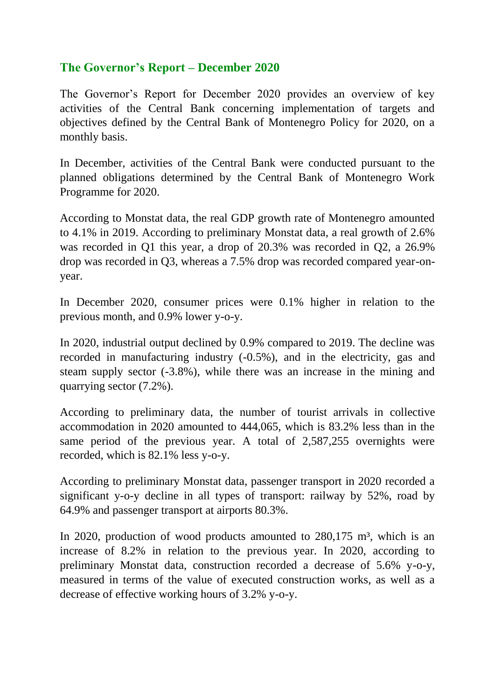## **The Governor's Report – December 2020**

The Governor's Report for December 2020 provides an overview of key activities of the Central Bank concerning implementation of targets and objectives defined by the Central Bank of Montenegro Policy for 2020, on a monthly basis.

In December, activities of the Central Bank were conducted pursuant to the planned obligations determined by the Central Bank of Montenegro Work Programme for 2020.

According to Monstat data, the real GDP growth rate of Montenegro amounted to 4.1% in 2019. According to preliminary Monstat data, a real growth of 2.6% was recorded in Q1 this year, a drop of 20.3% was recorded in Q2, a 26.9% drop was recorded in Q3, whereas a 7.5% drop was recorded compared year-onyear.

In December 2020, consumer prices were 0.1% higher in relation to the previous month, and 0.9% lower y-o-y.

In 2020, industrial output declined by 0.9% compared to 2019. The decline was recorded in manufacturing industry (-0.5%), and in the electricity, gas and steam supply sector (-3.8%), while there was an increase in the mining and quarrying sector (7.2%).

According to preliminary data, the number of tourist arrivals in collective accommodation in 2020 amounted to 444,065, which is 83.2% less than in the same period of the previous year. A total of 2,587,255 overnights were recorded, which is 82.1% less y-o-y.

According to preliminary Monstat data, passenger transport in 2020 recorded a significant y-o-y decline in all types of transport: railway by 52%, road by 64.9% and passenger transport at airports 80.3%.

In 2020, production of wood products amounted to  $280,175$  m<sup>3</sup>, which is an increase of 8.2% in relation to the previous year. In 2020, according to preliminary Monstat data, construction recorded a decrease of 5.6% y-o-y, measured in terms of the value of executed construction works, as well as a decrease of effective working hours of 3.2% y-o-y.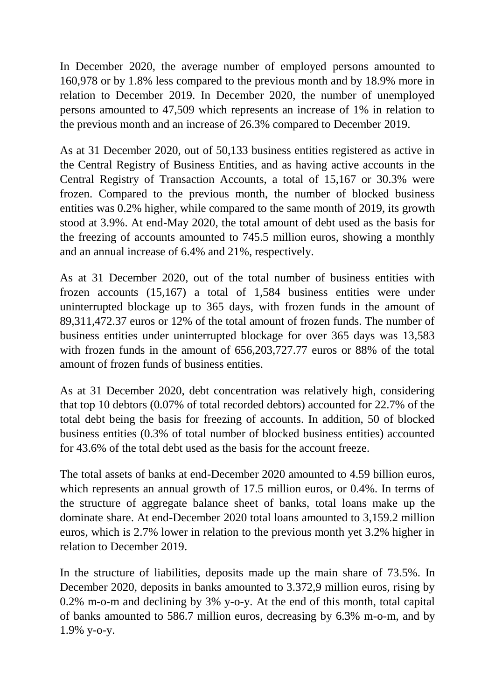In December 2020, the average number of employed persons amounted to 160,978 or by 1.8% less compared to the previous month and by 18.9% more in relation to December 2019. In December 2020, the number of unemployed persons amounted to 47,509 which represents an increase of 1% in relation to the previous month and an increase of 26.3% compared to December 2019.

As at 31 December 2020, out of 50,133 business entities registered as active in the Central Registry of Business Entities, and as having active accounts in the Central Registry of Transaction Accounts, a total of 15,167 or 30.3% were frozen. Compared to the previous month, the number of blocked business entities was 0.2% higher, while compared to the same month of 2019, its growth stood at 3.9%. At end-May 2020, the total amount of debt used as the basis for the freezing of accounts amounted to 745.5 million euros, showing a monthly and an annual increase of 6.4% and 21%, respectively.

As at 31 December 2020, out of the total number of business entities with frozen accounts (15,167) a total of 1,584 business entities were under uninterrupted blockage up to 365 days, with frozen funds in the amount of 89,311,472.37 euros or 12% of the total amount of frozen funds. The number of business entities under uninterrupted blockage for over 365 days was 13,583 with frozen funds in the amount of  $656,203,727.77$  euros or 88% of the total amount of frozen funds of business entities.

As at 31 December 2020, debt concentration was relatively high, considering that top 10 debtors (0.07% of total recorded debtors) accounted for 22.7% of the total debt being the basis for freezing of accounts. In addition, 50 of blocked business entities (0.3% of total number of blocked business entities) accounted for 43.6% of the total debt used as the basis for the account freeze.

The total assets of banks at end-December 2020 amounted to 4.59 billion euros, which represents an annual growth of 17.5 million euros, or 0.4%. In terms of the structure of aggregate balance sheet of banks, total loans make up the dominate share. At end-December 2020 total loans amounted to 3,159.2 million euros, which is 2.7% lower in relation to the previous month yet 3.2% higher in relation to December 2019.

In the structure of liabilities, deposits made up the main share of 73.5%. In December 2020, deposits in banks amounted to 3.372,9 million euros, rising by 0.2% m-o-m and declining by 3% y-o-y. At the end of this month, total capital of banks amounted to 586.7 million euros, decreasing by 6.3% m-o-m, and by 1.9% y-o-y.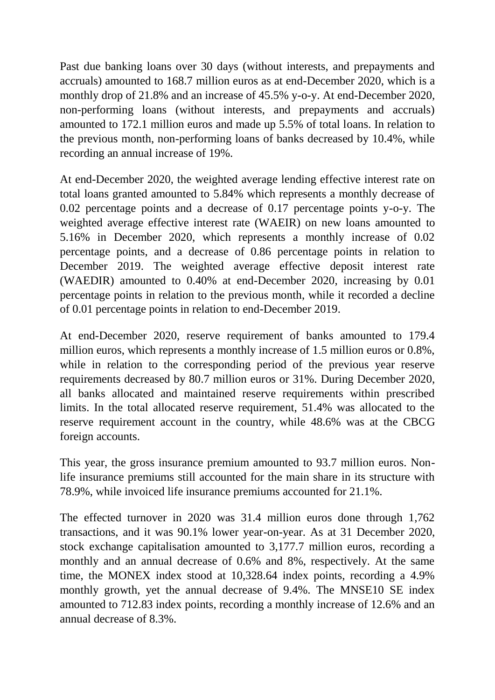Past due banking loans over 30 days (without interests, and prepayments and accruals) amounted to 168.7 million euros as at end-December 2020, which is a monthly drop of 21.8% and an increase of 45.5% y-o-y. At end-December 2020, non-performing loans (without interests, and prepayments and accruals) amounted to 172.1 million euros and made up 5.5% of total loans. In relation to the previous month, non-performing loans of banks decreased by 10.4%, while recording an annual increase of 19%.

At end-December 2020, the weighted average lending effective interest rate on total loans granted amounted to 5.84% which represents a monthly decrease of 0.02 percentage points and a decrease of 0.17 percentage points y-o-y. The weighted average effective interest rate (WAEIR) on new loans amounted to 5.16% in December 2020, which represents a monthly increase of 0.02 percentage points, and a decrease of 0.86 percentage points in relation to December 2019. The weighted average effective deposit interest rate (WAEDIR) amounted to 0.40% at end-December 2020, increasing by 0.01 percentage points in relation to the previous month, while it recorded a decline of 0.01 percentage points in relation to end-December 2019.

At end-December 2020, reserve requirement of banks amounted to 179.4 million euros, which represents a monthly increase of 1.5 million euros or 0.8%, while in relation to the corresponding period of the previous year reserve requirements decreased by 80.7 million euros or 31%. During December 2020, all banks allocated and maintained reserve requirements within prescribed limits. In the total allocated reserve requirement, 51.4% was allocated to the reserve requirement account in the country, while 48.6% was at the CBCG foreign accounts.

This year, the gross insurance premium amounted to 93.7 million euros. Nonlife insurance premiums still accounted for the main share in its structure with 78.9%, while invoiced life insurance premiums accounted for 21.1%.

The effected turnover in 2020 was 31.4 million euros done through 1,762 transactions, and it was 90.1% lower year-on-year. As at 31 December 2020, stock exchange capitalisation amounted to 3,177.7 million euros, recording a monthly and an annual decrease of 0.6% and 8%, respectively. At the same time, the MONEX index stood at 10,328.64 index points, recording a 4.9% monthly growth, yet the annual decrease of 9.4%. The MNSE10 SE index amounted to 712.83 index points, recording a monthly increase of 12.6% and an annual decrease of 8.3%.